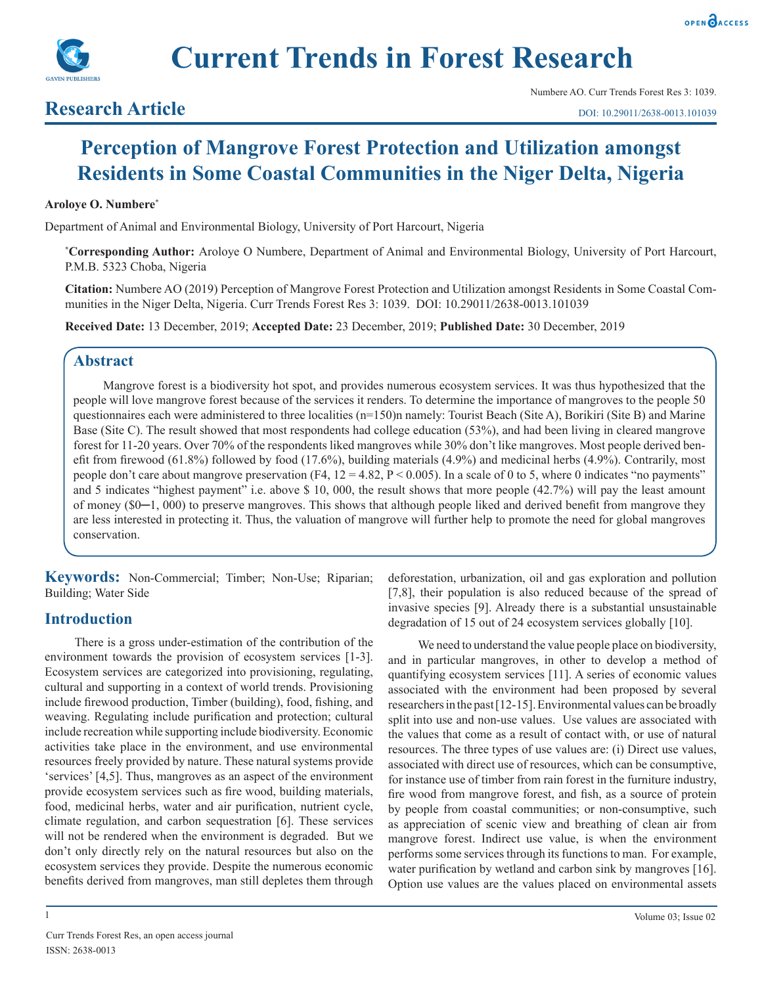



## **Research Article**

# **Perception of Mangrove Forest Protection and Utilization amongst Residents in Some Coastal Communities in the Niger Delta, Nigeria**

#### **Aroloye O. Numbere\***

Department of Animal and Environmental Biology, University of Port Harcourt, Nigeria

**\* Corresponding Author:** Aroloye O Numbere, Department of Animal and Environmental Biology, University of Port Harcourt, P.M.B. 5323 Choba, Nigeria

**Citation:** Numbere AO (2019) Perception of Mangrove Forest Protection and Utilization amongst Residents in Some Coastal Communities in the Niger Delta, Nigeria. Curr Trends Forest Res 3: 1039. DOI: 10.29011/2638-0013.101039

**Received Date:** 13 December, 2019; **Accepted Date:** 23 December, 2019; **Published Date:** 30 December, 2019

## **Abstract**

Mangrove forest is a biodiversity hot spot, and provides numerous ecosystem services. It was thus hypothesized that the people will love mangrove forest because of the services it renders. To determine the importance of mangroves to the people 50 questionnaires each were administered to three localities (n=150)n namely: Tourist Beach (Site A), Borikiri (Site B) and Marine Base (Site C). The result showed that most respondents had college education (53%), and had been living in cleared mangrove forest for 11-20 years. Over 70% of the respondents liked mangroves while 30% don't like mangroves. Most people derived benefit from firewood (61.8%) followed by food (17.6%), building materials (4.9%) and medicinal herbs (4.9%). Contrarily, most people don't care about mangrove preservation (F4,  $12 = 4.82$ ,  $P < 0.005$ ). In a scale of 0 to 5, where 0 indicates "no payments" and 5 indicates "highest payment" i.e. above \$ 10, 000, the result shows that more people (42.7%) will pay the least amount of money (\$0─1, 000) to preserve mangroves. This shows that although people liked and derived benefit from mangrove they are less interested in protecting it. Thus, the valuation of mangrove will further help to promote the need for global mangroves conservation.

**Keywords:** Non-Commercial; Timber; Non-Use; Riparian; Building; Water Side

## **Introduction**

There is a gross under-estimation of the contribution of the environment towards the provision of ecosystem services [1-3]. Ecosystem services are categorized into provisioning, regulating, cultural and supporting in a context of world trends. Provisioning include firewood production, Timber (building), food, fishing, and weaving. Regulating include purification and protection; cultural include recreation while supporting include biodiversity. Economic activities take place in the environment, and use environmental resources freely provided by nature. These natural systems provide 'services' [4,5]. Thus, mangroves as an aspect of the environment provide ecosystem services such as fire wood, building materials, food, medicinal herbs, water and air purification, nutrient cycle, climate regulation, and carbon sequestration [6]. These services will not be rendered when the environment is degraded. But we don't only directly rely on the natural resources but also on the ecosystem services they provide. Despite the numerous economic benefits derived from mangroves, man still depletes them through

deforestation, urbanization, oil and gas exploration and pollution [7,8], their population is also reduced because of the spread of invasive species [9]. Already there is a substantial unsustainable degradation of 15 out of 24 ecosystem services globally [10].

We need to understand the value people place on biodiversity, and in particular mangroves, in other to develop a method of quantifying ecosystem services [11]. A series of economic values associated with the environment had been proposed by several researchers in the past [12-15]. Environmental values can be broadly split into use and non-use values. Use values are associated with the values that come as a result of contact with, or use of natural resources. The three types of use values are: (i) Direct use values, associated with direct use of resources, which can be consumptive, for instance use of timber from rain forest in the furniture industry, fire wood from mangrove forest, and fish, as a source of protein by people from coastal communities; or non-consumptive, such as appreciation of scenic view and breathing of clean air from mangrove forest. Indirect use value, is when the environment performs some services through its functions to man. For example, water purification by wetland and carbon sink by mangroves [16]. Option use values are the values placed on environmental assets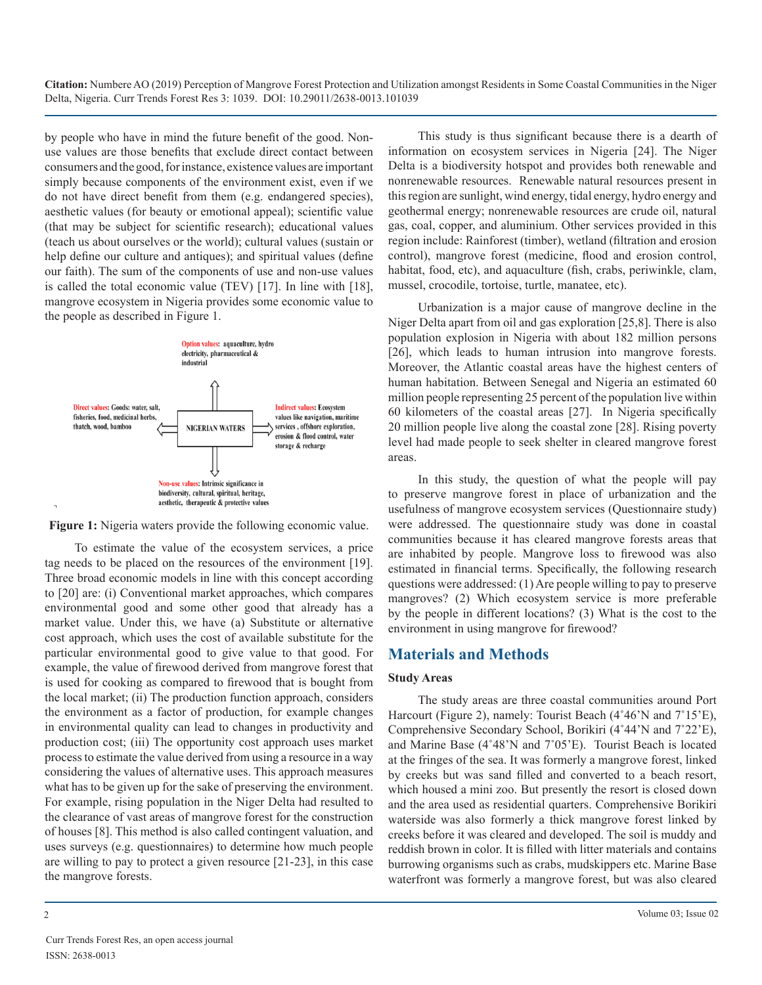by people who have in mind the future benefit of the good. Nonuse values are those benefits that exclude direct contact between consumers and the good, for instance, existence values are important simply because components of the environment exist, even if we do not have direct benefit from them (e.g. endangered species), aesthetic values (for beauty or emotional appeal); scientific value (that may be subject for scientific research); educational values (teach us about ourselves or the world); cultural values (sustain or help define our culture and antiques); and spiritual values (define our faith). The sum of the components of use and non-use values is called the total economic value (TEV) [17]. In line with [18], mangrove ecosystem in Nigeria provides some economic value to the people as described in Figure 1.



**Figure 1:** Nigeria waters provide the following economic value.

To estimate the value of the ecosystem services, a price tag needs to be placed on the resources of the environment [19]. Three broad economic models in line with this concept according to [20] are: (i) Conventional market approaches, which compares environmental good and some other good that already has a market value. Under this, we have (a) Substitute or alternative cost approach, which uses the cost of available substitute for the particular environmental good to give value to that good. For example, the value of firewood derived from mangrove forest that is used for cooking as compared to firewood that is bought from the local market; (ii) The production function approach, considers the environment as a factor of production, for example changes in environmental quality can lead to changes in productivity and production cost; (iii) The opportunity cost approach uses market process to estimate the value derived from using a resource in a way considering the values of alternative uses. This approach measures what has to be given up for the sake of preserving the environment. For example, rising population in the Niger Delta had resulted to the clearance of vast areas of mangrove forest for the construction of houses [8]. This method is also called contingent valuation, and uses surveys (e.g. questionnaires) to determine how much people are willing to pay to protect a given resource [21-23], in this case the mangrove forests.

This study is thus significant because there is a dearth of information on ecosystem services in Nigeria [24]. The Niger Delta is a biodiversity hotspot and provides both renewable and nonrenewable resources. Renewable natural resources present in this region are sunlight, wind energy, tidal energy, hydro energy and geothermal energy; nonrenewable resources are crude oil, natural gas, coal, copper, and aluminium. Other services provided in this region include: Rainforest (timber), wetland (filtration and erosion control), mangrove forest (medicine, flood and erosion control, habitat, food, etc), and aquaculture (fish, crabs, periwinkle, clam, mussel, crocodile, tortoise, turtle, manatee, etc).

Urbanization is a major cause of mangrove decline in the Niger Delta apart from oil and gas exploration [25,8]. There is also population explosion in Nigeria with about 182 million persons [26], which leads to human intrusion into mangrove forests. Moreover, the Atlantic coastal areas have the highest centers of human habitation. Between Senegal and Nigeria an estimated 60 million people representing 25 percent of the population live within 60 kilometers of the coastal areas [27]. In Nigeria specifically 20 million people live along the coastal zone [28]. Rising poverty level had made people to seek shelter in cleared mangrove forest areas.

In this study, the question of what the people will pay to preserve mangrove forest in place of urbanization and the usefulness of mangrove ecosystem services (Questionnaire study) were addressed. The questionnaire study was done in coastal communities because it has cleared mangrove forests areas that are inhabited by people. Mangrove loss to firewood was also estimated in financial terms. Specifically, the following research questions were addressed: (1) Are people willing to pay to preserve mangroves? (2) Which ecosystem service is more preferable by the people in different locations? (3) What is the cost to the environment in using mangrove for firewood?

## **Materials and Methods**

#### **Study Areas**

The study areas are three coastal communities around Port Harcourt (Figure 2), namely: Tourist Beach (4˚46'N and 7˚15'E), Comprehensive Secondary School, Borikiri (4˚44'N and 7˚22'E), and Marine Base (4˚48'N and 7˚05'E). Tourist Beach is located at the fringes of the sea. It was formerly a mangrove forest, linked by creeks but was sand filled and converted to a beach resort, which housed a mini zoo. But presently the resort is closed down and the area used as residential quarters. Comprehensive Borikiri waterside was also formerly a thick mangrove forest linked by creeks before it was cleared and developed. The soil is muddy and reddish brown in color. It is filled with litter materials and contains burrowing organisms such as crabs, mudskippers etc. Marine Base waterfront was formerly a mangrove forest, but was also cleared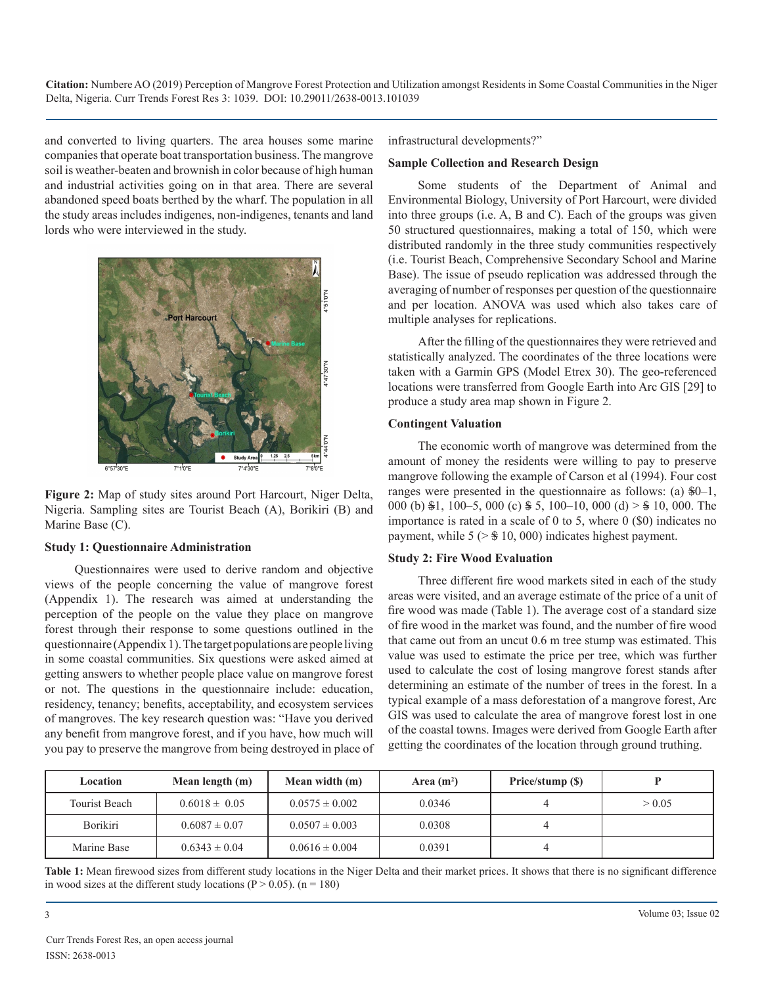and converted to living quarters. The area houses some marine companies that operate boat transportation business. The mangrove soil is weather-beaten and brownish in color because of high human and industrial activities going on in that area. There are several abandoned speed boats berthed by the wharf. The population in all the study areas includes indigenes, non-indigenes, tenants and land lords who were interviewed in the study.



**Figure 2:** Map of study sites around Port Harcourt, Niger Delta, Nigeria. Sampling sites are Tourist Beach (A), Borikiri (B) and Marine Base (C).

#### **Study 1: Questionnaire Administration**

Questionnaires were used to derive random and objective views of the people concerning the value of mangrove forest (Appendix 1). The research was aimed at understanding the perception of the people on the value they place on mangrove forest through their response to some questions outlined in the questionnaire (Appendix 1). The target populations are people living in some coastal communities. Six questions were asked aimed at getting answers to whether people place value on mangrove forest or not. The questions in the questionnaire include: education, residency, tenancy; benefits, acceptability, and ecosystem services of mangroves. The key research question was: "Have you derived any benefit from mangrove forest, and if you have, how much will you pay to preserve the mangrove from being destroyed in place of infrastructural developments?"

#### **Sample Collection and Research Design**

Some students of the Department of Animal and Environmental Biology, University of Port Harcourt, were divided into three groups (i.e. A, B and C). Each of the groups was given 50 structured questionnaires, making a total of 150, which were distributed randomly in the three study communities respectively (i.e. Tourist Beach, Comprehensive Secondary School and Marine Base). The issue of pseudo replication was addressed through the averaging of number of responses per question of the questionnaire and per location. ANOVA was used which also takes care of multiple analyses for replications.

After the filling of the questionnaires they were retrieved and statistically analyzed. The coordinates of the three locations were taken with a Garmin GPS (Model Etrex 30). The geo-referenced locations were transferred from Google Earth into Arc GIS [29] to produce a study area map shown in Figure 2.

#### **Contingent Valuation**

The economic worth of mangrove was determined from the amount of money the residents were willing to pay to preserve mangrove following the example of Carson et al (1994). Four cost ranges were presented in the questionnaire as follows: (a) \$0–1, 000 (b) \$1, 100–5, 000 (c) \$ 5, 100–10, 000 (d) > \$ 10, 000. The importance is rated in a scale of 0 to 5, where 0 (\$0) indicates no payment, while  $5$  ( $>$   $\$$  10, 000) indicates highest payment.

#### **Study 2: Fire Wood Evaluation**

Three different fire wood markets sited in each of the study areas were visited, and an average estimate of the price of a unit of fire wood was made (Table 1). The average cost of a standard size of fire wood in the market was found, and the number of fire wood that came out from an uncut 0.6 m tree stump was estimated. This value was used to estimate the price per tree, which was further used to calculate the cost of losing mangrove forest stands after determining an estimate of the number of trees in the forest. In a typical example of a mass deforestation of a mangrove forest, Arc GIS was used to calculate the area of mangrove forest lost in one of the coastal towns. Images were derived from Google Earth after getting the coordinates of the location through ground truthing.

| Location             | Mean length (m)   | Mean width (m)     | Area $(m^2)$ | Price/stump (\$) |        |
|----------------------|-------------------|--------------------|--------------|------------------|--------|
| <b>Tourist Beach</b> | $0.6018 \pm 0.05$ | $0.0575 \pm 0.002$ | 0.0346       |                  | > 0.05 |
| Borikiri             | $0.6087 \pm 0.07$ | $0.0507 \pm 0.003$ | 0.0308       |                  |        |
| Marine Base          | $0.6343 \pm 0.04$ | $0.0616 \pm 0.004$ | 0.0391       | ↵                |        |

**Table 1:** Mean firewood sizes from different study locations in the Niger Delta and their market prices. It shows that there is no significant difference in wood sizes at the different study locations ( $P > 0.05$ ). (n = 180)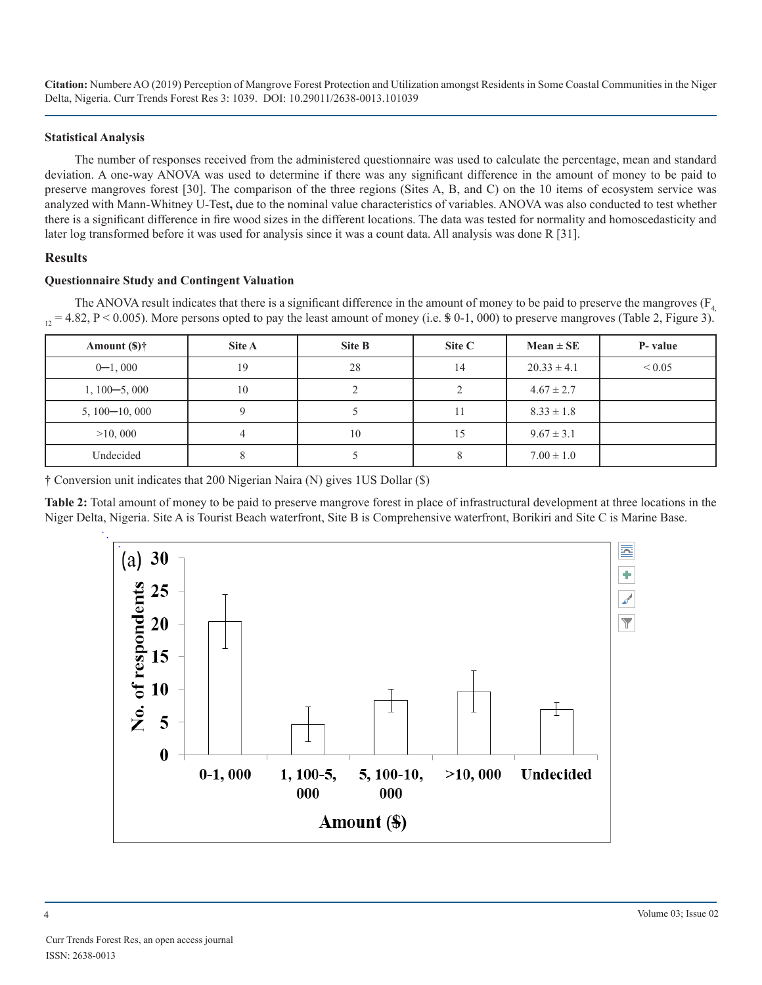#### **Statistical Analysis**

The number of responses received from the administered questionnaire was used to calculate the percentage, mean and standard deviation. A one-way ANOVA was used to determine if there was any significant difference in the amount of money to be paid to preserve mangroves forest [30]. The comparison of the three regions (Sites A, B, and C) on the 10 items of ecosystem service was analyzed with Mann-Whitney U-Test**,** due to the nominal value characteristics of variables. ANOVA was also conducted to test whether there is a significant difference in fire wood sizes in the different locations. The data was tested for normality and homoscedasticity and later log transformed before it was used for analysis since it was a count data. All analysis was done R [31].

## **Results**

#### **Questionnaire Study and Contingent Valuation**

The ANOVA result indicates that there is a significant difference in the amount of money to be paid to preserve the mangroves ( $F_4$  $_{12}$  = 4.82, P < 0.005). More persons opted to pay the least amount of money (i.e. \$ 0-1, 000) to preserve mangroves (Table 2, Figure 3).

| Amount $(\frac{2}{3})\dagger$ | Site A | Site B | Site C | $Mean \pm SE$   | P- value   |
|-------------------------------|--------|--------|--------|-----------------|------------|
| $0 - 1,000$                   | 19     | 28     | 14     | $20.33 \pm 4.1$ | ${}< 0.05$ |
| $1, 100 - 5, 000$             | 10     | ◠      |        | $4.67 \pm 2.7$  |            |
| $5, 100 - 10, 000$            |        |        | 11     | $8.33 \pm 1.8$  |            |
| >10,000                       |        | 10     | 15     | $9.67 \pm 3.1$  |            |
| Undecided                     | δ      |        | 8      | $7.00 \pm 1.0$  |            |

† Conversion unit indicates that 200 Nigerian Naira (N) gives 1US Dollar (\$)

**Table 2:** Total amount of money to be paid to preserve mangrove forest in place of infrastructural development at three locations in the Niger Delta, Nigeria. Site A is Tourist Beach waterfront, Site B is Comprehensive waterfront, Borikiri and Site C is Marine Base.

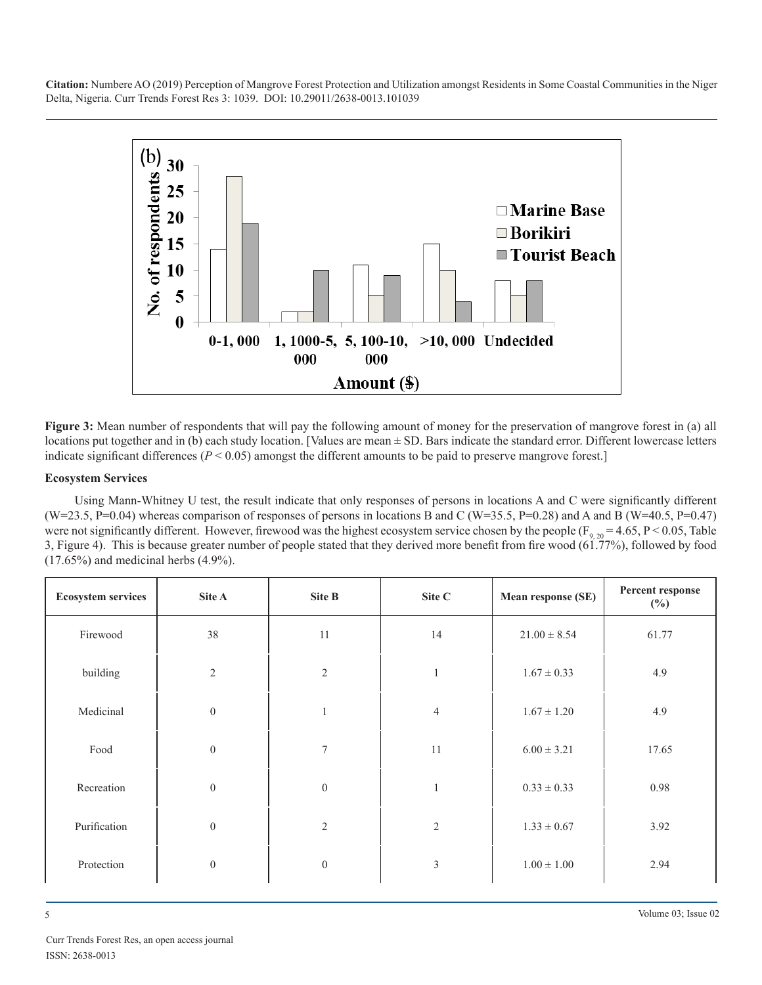

**Figure 3:** Mean number of respondents that will pay the following amount of money for the preservation of mangrove forest in (a) all locations put together and in (b) each study location. [Values are mean ± SD. Bars indicate the standard error. Different lowercase letters indicate significant differences (*P* < 0.05) amongst the different amounts to be paid to preserve mangrove forest.]

## **Ecosystem Services**

Using Mann-Whitney U test, the result indicate that only responses of persons in locations A and C were significantly different  $(W=23.5, P=0.04)$  whereas comparison of responses of persons in locations B and C (W=35.5, P=0.28) and A and B (W=40.5, P=0.47) were not significantly different. However, firewood was the highest ecosystem service chosen by the people ( $F_{9, 20}$  = 4.65, P < 0.05, Table 3, Figure 4). This is because greater number of people stated that they derived more benefit from fire wood (61.77%), followed by food  $(17.65\%)$  and medicinal herbs  $(4.9\%)$ .

| <b>Ecosystem services</b> | Site A           | Site B           | Site C         | Mean response (SE) | Percent response<br>$(\%)$ |
|---------------------------|------------------|------------------|----------------|--------------------|----------------------------|
| Firewood                  | 38               | 11               | 14             | $21.00 \pm 8.54$   | 61.77                      |
| building                  | 2                | $\overline{2}$   | $\mathbf{1}$   | $1.67 \pm 0.33$    | 4.9                        |
| Medicinal                 | $\boldsymbol{0}$ |                  | $\overline{4}$ | $1.67 \pm 1.20$    | 4.9                        |
| Food                      | $\mathbf{0}$     | $\overline{7}$   | 11             | $6.00 \pm 3.21$    | 17.65                      |
| Recreation                | $\boldsymbol{0}$ | $\boldsymbol{0}$ | 1              | $0.33 \pm 0.33$    | 0.98                       |
| Purification              | $\boldsymbol{0}$ | $\overline{2}$   | $\overline{2}$ | $1.33 \pm 0.67$    | 3.92                       |
| Protection                | $\boldsymbol{0}$ | $\boldsymbol{0}$ | $\mathfrak{Z}$ | $1.00 \pm 1.00$    | 2.94                       |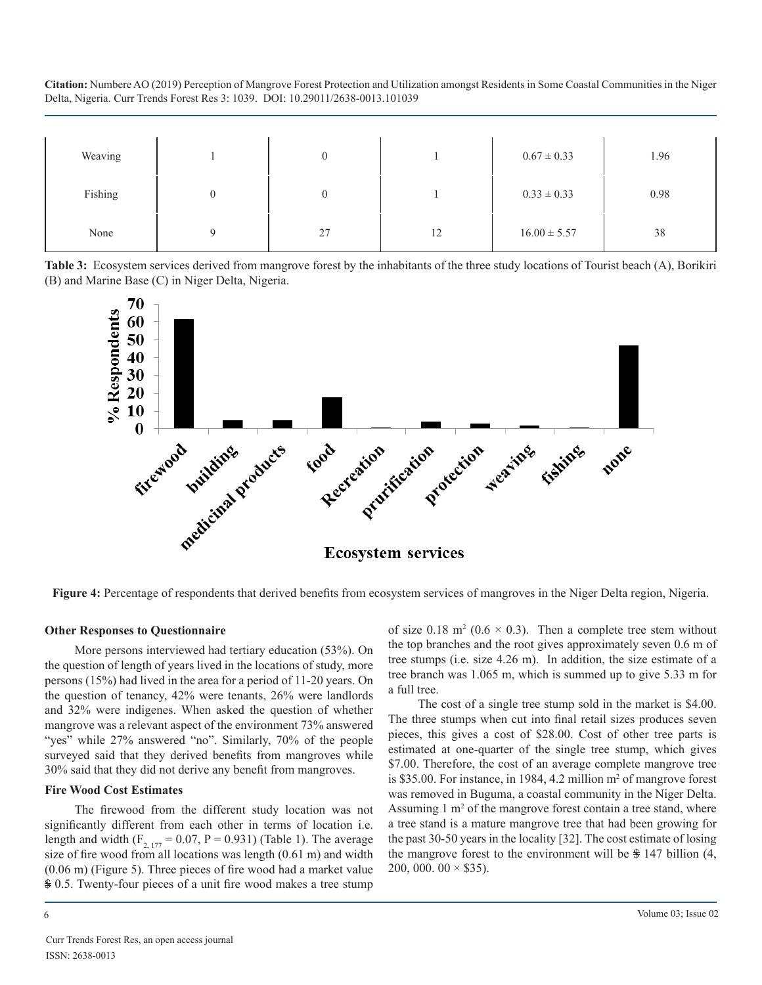| Weaving |   |    |    | $0.67 \pm 0.33$  | 1.96 |
|---------|---|----|----|------------------|------|
| Fishing |   |    |    | $0.33 \pm 0.33$  | 0.98 |
| None    | Ω | 27 | 12 | $16.00 \pm 5.57$ | 38   |

**Table 3:** Ecosystem services derived from mangrove forest by the inhabitants of the three study locations of Tourist beach (A), Borikiri (B) and Marine Base (C) in Niger Delta, Nigeria.



**Figure 4:** Percentage of respondents that derived benefits from ecosystem services of mangroves in the Niger Delta region, Nigeria.

#### **Other Responses to Questionnaire**

More persons interviewed had tertiary education (53%). On the question of length of years lived in the locations of study, more persons (15%) had lived in the area for a period of 11-20 years. On the question of tenancy, 42% were tenants, 26% were landlords and 32% were indigenes. When asked the question of whether mangrove was a relevant aspect of the environment 73% answered "yes" while 27% answered "no". Similarly, 70% of the people surveyed said that they derived benefits from mangroves while 30% said that they did not derive any benefit from mangroves.

#### **Fire Wood Cost Estimates**

The firewood from the different study location was not significantly different from each other in terms of location i.e. length and width  $(F_{2, 177} = 0.07, P = 0.931)$  (Table 1). The average size of fire wood from all locations was length (0.61 m) and width (0.06 m) (Figure 5). Three pieces of fire wood had a market value \$ 0.5. Twenty-four pieces of a unit fire wood makes a tree stump

of size 0.18 m<sup>2</sup> (0.6  $\times$  0.3). Then a complete tree stem without the top branches and the root gives approximately seven 0.6 m of tree stumps (i.e. size 4.26 m). In addition, the size estimate of a tree branch was 1.065 m, which is summed up to give 5.33 m for a full tree.

The cost of a single tree stump sold in the market is \$4.00. The three stumps when cut into final retail sizes produces seven pieces, this gives a cost of \$28.00. Cost of other tree parts is estimated at one-quarter of the single tree stump, which gives \$7.00. Therefore, the cost of an average complete mangrove tree is \$35.00. For instance, in 1984, 4.2 million  $m<sup>2</sup>$  of mangrove forest was removed in Buguma, a coastal community in the Niger Delta. Assuming  $1 \text{ m}^2$  of the mangrove forest contain a tree stand, where a tree stand is a mature mangrove tree that had been growing for the past 30-50 years in the locality [32]. The cost estimate of losing the mangrove forest to the environment will be  $\frac{1}{2}$  147 billion (4, 200, 000. 00  $\times$  \$35).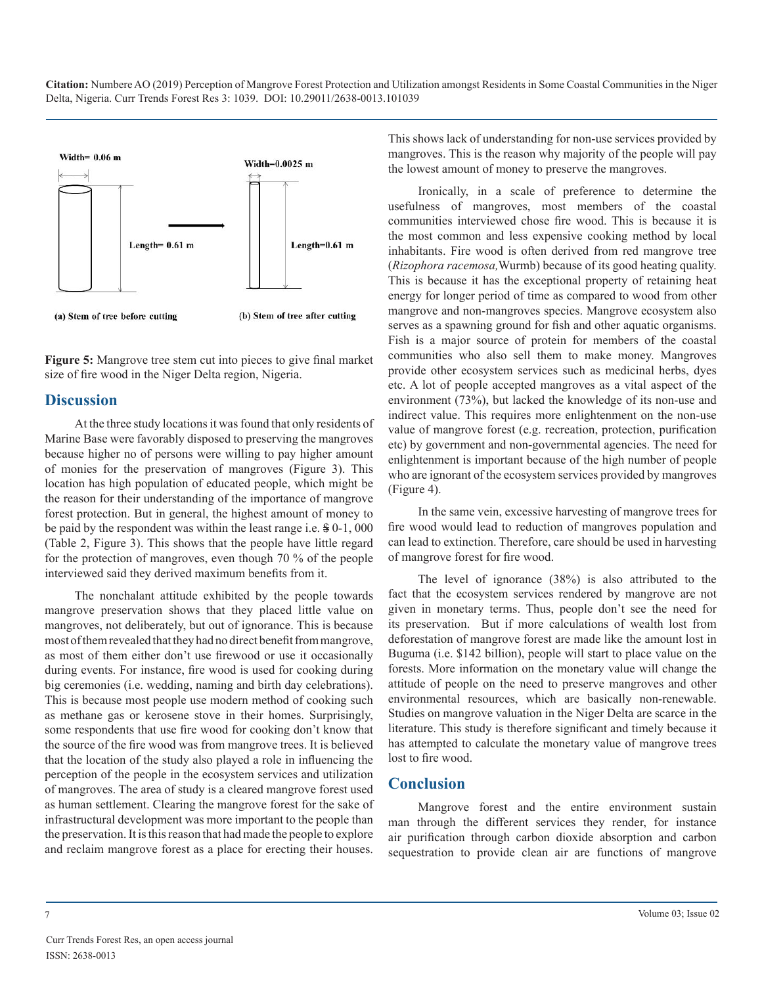

**Figure 5:** Mangrove tree stem cut into pieces to give final market size of fire wood in the Niger Delta region, Nigeria.

## **Discussion**

At the three study locations it was found that only residents of Marine Base were favorably disposed to preserving the mangroves because higher no of persons were willing to pay higher amount of monies for the preservation of mangroves (Figure 3). This location has high population of educated people, which might be the reason for their understanding of the importance of mangrove forest protection. But in general, the highest amount of money to be paid by the respondent was within the least range i.e. \$ 0-1, 000 (Table 2, Figure 3). This shows that the people have little regard for the protection of mangroves, even though 70 % of the people interviewed said they derived maximum benefits from it.

The nonchalant attitude exhibited by the people towards mangrove preservation shows that they placed little value on mangroves, not deliberately, but out of ignorance. This is because most of them revealed that they had no direct benefit from mangrove, as most of them either don't use firewood or use it occasionally during events. For instance, fire wood is used for cooking during big ceremonies (i.e. wedding, naming and birth day celebrations). This is because most people use modern method of cooking such as methane gas or kerosene stove in their homes. Surprisingly, some respondents that use fire wood for cooking don't know that the source of the fire wood was from mangrove trees. It is believed that the location of the study also played a role in influencing the perception of the people in the ecosystem services and utilization of mangroves. The area of study is a cleared mangrove forest used as human settlement. Clearing the mangrove forest for the sake of infrastructural development was more important to the people than the preservation. It is this reason that had made the people to explore and reclaim mangrove forest as a place for erecting their houses.

This shows lack of understanding for non-use services provided by mangroves. This is the reason why majority of the people will pay the lowest amount of money to preserve the mangroves.

Ironically, in a scale of preference to determine the usefulness of mangroves, most members of the coastal communities interviewed chose fire wood. This is because it is the most common and less expensive cooking method by local inhabitants. Fire wood is often derived from red mangrove tree (*Rizophora racemosa,*Wurmb) because of its good heating quality. This is because it has the exceptional property of retaining heat energy for longer period of time as compared to wood from other mangrove and non-mangroves species. Mangrove ecosystem also serves as a spawning ground for fish and other aquatic organisms. Fish is a major source of protein for members of the coastal communities who also sell them to make money. Mangroves provide other ecosystem services such as medicinal herbs, dyes etc. A lot of people accepted mangroves as a vital aspect of the environment (73%), but lacked the knowledge of its non-use and indirect value. This requires more enlightenment on the non-use value of mangrove forest (e.g. recreation, protection, purification etc) by government and non-governmental agencies. The need for enlightenment is important because of the high number of people who are ignorant of the ecosystem services provided by mangroves (Figure 4).

In the same vein, excessive harvesting of mangrove trees for fire wood would lead to reduction of mangroves population and can lead to extinction. Therefore, care should be used in harvesting of mangrove forest for fire wood.

The level of ignorance (38%) is also attributed to the fact that the ecosystem services rendered by mangrove are not given in monetary terms. Thus, people don't see the need for its preservation. But if more calculations of wealth lost from deforestation of mangrove forest are made like the amount lost in Buguma (i.e. \$142 billion), people will start to place value on the forests. More information on the monetary value will change the attitude of people on the need to preserve mangroves and other environmental resources, which are basically non-renewable. Studies on mangrove valuation in the Niger Delta are scarce in the literature. This study is therefore significant and timely because it has attempted to calculate the monetary value of mangrove trees lost to fire wood.

## **Conclusion**

Mangrove forest and the entire environment sustain man through the different services they render, for instance air purification through carbon dioxide absorption and carbon sequestration to provide clean air are functions of mangrove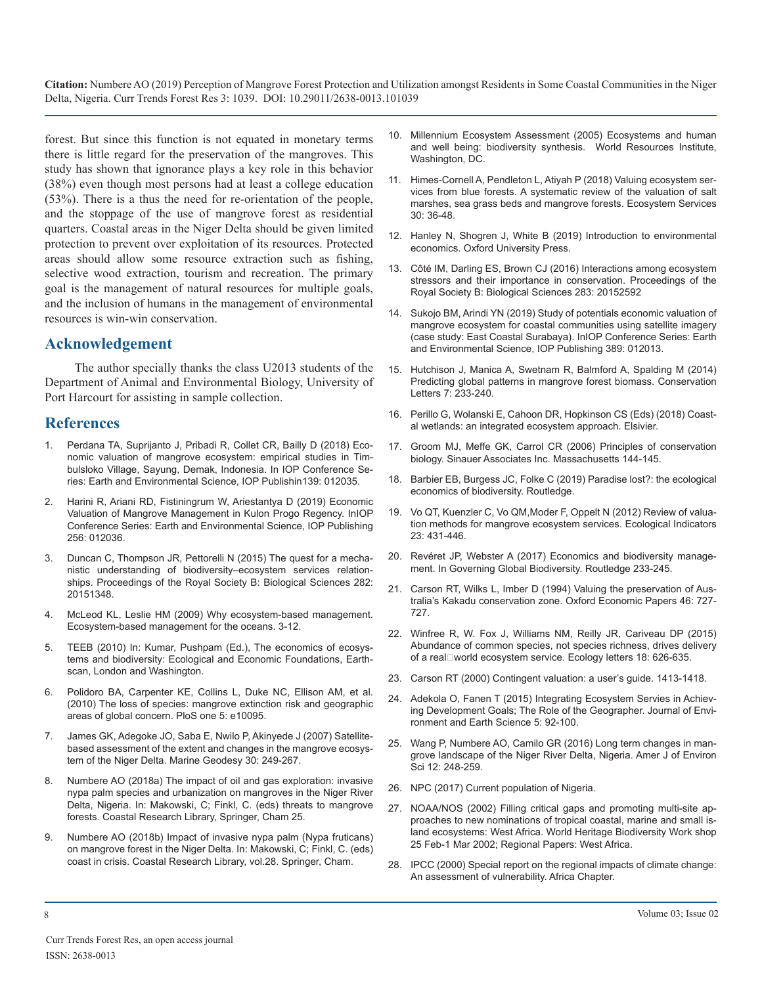forest. But since this function is not equated in monetary terms there is little regard for the preservation of the mangroves. This study has shown that ignorance plays a key role in this behavior (38%) even though most persons had at least a college education (53%). There is a thus the need for re-orientation of the people, and the stoppage of the use of mangrove forest as residential quarters. Coastal areas in the Niger Delta should be given limited protection to prevent over exploitation of its resources. Protected areas should allow some resource extraction such as fishing, selective wood extraction, tourism and recreation. The primary goal is the management of natural resources for multiple goals, and the inclusion of humans in the management of environmental resources is win-win conservation.

## **Acknowledgement**

The author specially thanks the class U2013 students of the Department of Animal and Environmental Biology, University of Port Harcourt for assisting in sample collection.

## **References**

- [Perdana TA, Suprijanto J, Pribadi R, Collet CR, Bailly D \(2018\) Eco](https://iopscience.iop.org/article/10.1088/1755-1315/139/1/012035)nomic valuation of mangrove ecosystem: empirical studies in Tim[bulsloko Village, Sayung, Demak, Indonesia. In IOP Conference Se](https://iopscience.iop.org/article/10.1088/1755-1315/139/1/012035)[ries: Earth and Environmental Science, IOP Publishin139: 012035.](https://iopscience.iop.org/article/10.1088/1755-1315/139/1/012035)
- 2. [Harini R, Ariani RD, Fistiningrum W, Ariestantya D \(2019\) Economic](https://iopscience.iop.org/article/10.1088/1755-1315/256/1/012036)  Valuation of Mangrove Management in Kulon Progo Regency. InIOP [Conference Series: Earth and Environmental Science, IOP Publishing](https://iopscience.iop.org/article/10.1088/1755-1315/256/1/012036)  [256: 012036.](https://iopscience.iop.org/article/10.1088/1755-1315/256/1/012036)
- 3. [Duncan C, Thompson JR, Pettorelli N \(2015\) The quest for a mecha](https://www.ncbi.nlm.nih.gov/pmc/articles/PMC4633867/)nistic understanding of biodiversity–ecosystem services relationships. [Proceedings of the Royal Society B: Biological Sciences 282:](https://www.ncbi.nlm.nih.gov/pmc/articles/PMC4633867/)  [20151348.](https://www.ncbi.nlm.nih.gov/pmc/articles/PMC4633867/)
- 4. McLeod KL, Leslie HM (2009) Why ecosystem-based management. Ecosystem-based management for the oceans. 3-12.
- 5. [TEEB \(2010\) In: Kumar, Pushpam \(Ed.\), The economics of ecosys](http://www.teebweb.org/our-publications/teeb-study-reports/ecological-and-economic-foundations/)tems and biodiversity: Ecological and Economic Foundations, Earth[scan, London and Washington.](http://www.teebweb.org/our-publications/teeb-study-reports/ecological-and-economic-foundations/)
- Polidoro BA, Carpenter KE, Collins L, Duke NC, Ellison AM, et al. (2010) The loss of species: mangrove extinction risk and geographic [areas of global concern. PloS one 5: e10095.](https://journals.plos.org/plosone/article?id=10.1371/journal.pone.0010095)
- 7. [James GK, Adegoke JO, Saba E, Nwilo P, Akinyede J \(2007\) Satellite](https://www.tandfonline.com/doi/abs/10.1080/01490410701438224)based assessment of the extent and changes in the mangrove ecosys[tem of the Niger Delta. Marine Geodesy 30: 249-267.](https://www.tandfonline.com/doi/abs/10.1080/01490410701438224)
- Numbere AO (2018a) The impact of oil and gas exploration: invasive nypa palm species and urbanization on mangroves in the Niger River [Delta, Nigeria. In: Makowski, C; Finkl, C. \(eds\) threats to mangrove](https://www.researchgate.net/publication/324669575_The_Impact_of_Oil_and_Gas_Exploration_Invasive_Nypa_Palm_Species_and_Urbanization_on_Mangroves_in_the_Niger_River_Delta_Nigeria) [forests. Coastal Research Library, Springer, Cham 25.](https://www.researchgate.net/publication/324669575_The_Impact_of_Oil_and_Gas_Exploration_Invasive_Nypa_Palm_Species_and_Urbanization_on_Mangroves_in_the_Niger_River_Delta_Nigeria)
- 9. Numbere AO (2018b) Impact of invasive nypa palm (Nypa fruticans) on mangrove forest in the Niger Delta. In: Makowski, C; Finkl, C. (eds) coast in crisis. Coastal Research Library, vol.28. Springer, Cham.
- 10. [Millennium Ecosystem Assessment \(2005\) Ecosystems and human](https://www.millenniumassessment.org/documents/document.356.aspx.pdf)  and well being: biodiversity synthesis. World Resources Institute[,](https://www.millenniumassessment.org/documents/document.356.aspx.pdf)  [Washington, DC.](https://www.millenniumassessment.org/documents/document.356.aspx.pdf)
- 11. [Himes-Cornell A, Pendleton L, Atiyah P \(2018\) Valuing ecosystem ser](https://www.sciencedirect.com/science/article/abs/pii/S2212041617305880)vices from blue forests. A systematic review of the valuation of salt [marshes, sea grass beds and mangrove forests. Ecosystem Services](https://www.sciencedirect.com/science/article/abs/pii/S2212041617305880)  [30: 36-48.](https://www.sciencedirect.com/science/article/abs/pii/S2212041617305880)
- 12. [Hanley N, Shogren J, White B \(2019\) Introduction to environmental](https://global.oup.com/academic/product/introduction-to-environmental-economics-9780198737230?cc=in&lang=en&)  economics. Oxford University Press.
- 13. [Côté IM, Darling ES, Brown CJ \(2016\) Interactions among ecosystem](https://royalsocietypublishing.org/doi/full/10.1098/rspb.2015.2592)  stressors and their importance in conservation. Proceedings of the [Royal Society B: Biological Sciences 283: 20152592](https://royalsocietypublishing.org/doi/full/10.1098/rspb.2015.2592)
- 14. [Sukojo BM, Arindi YN \(2019\) Study of potentials economic valuation of](https://iopscience.iop.org/article/10.1088/1755-1315/389/1/012013)  mangrove ecosystem for coastal communities using satellite imagery [\(case study: East Coastal Surabaya\). InIOP Conference Series: Earth](https://iopscience.iop.org/article/10.1088/1755-1315/389/1/012013)  [and Environmental Science, IOP Publishing 389: 012013.](https://iopscience.iop.org/article/10.1088/1755-1315/389/1/012013)
- 15. [Hutchison J, Manica A, Swetnam R, Balmford A, Spalding M \(2014\)](https://conbio.onlinelibrary.wiley.com/doi/full/10.1111/conl.12060)  Predicting global patterns in mangrove forest biomass. Conservation [Letters 7: 233-240.](https://conbio.onlinelibrary.wiley.com/doi/full/10.1111/conl.12060)
- 16. [Perillo G, Wolanski E, Cahoon DR, Hopkinson CS \(Eds\) \(2018\) Coast](https://www.elsevier.com/books/coastal-wetlands/perillo/978-0-444-63893-9)al wetlands: an integrated ecosystem approach. Elsivier.
- 17. [Groom MJ, Meffe GK, Carrol CR \(2006\) Principles of conservation](https://www.worldcat.org/title/principles-of-conservation-biology/oclc/60651075)  [biology. Sinauer Associates Inc. Massachusetts 144-145.](https://iopscience.iop.org/article/10.1088/1755-1315/139/1/012035)
- 18. [Barbier EB, Burgess JC, Folke C \(2019\) Paradise lost?: the ecological](https://www.crcpress.com/Paradise-Lost-The-Ecological-Economics-of-Biodiversity/Barbier-Burgess-Folke/p/book/9780367358341)  economics of biodiversity. Routledge.
- 19. [Vo QT, Kuenzler C, Vo QM,Moder F, Oppelt N \(2012\) Review of valua](https://iopscience.iop.org/article/10.1088/1755-1315/256/1/012036)tion methods for mangrove ecosystem services. Ecological Indicators [23: 431-446.](https://www.sciencedirect.com/science/article/abs/pii/S1470160X12001847)
- 20. Revéret JP, Webster A (2017) Economics and biodiversity manage[ment. In Governing Global Biodiversity. Routledge 233-245.](https://www.ncbi.nlm.nih.gov/pmc/articles/PMC4633867/)
- 21. [Carson RT, Wilks L, Imber D \(1994\) Valuing the preservation of Aus](https://www.jstor.org/stable/2663496?seq=1)tralia's Kakadu conservation zone. Oxford Economic Papers 46: 727- [727.](https://www.jstor.org/stable/2663496?seq=1)
- 22. [Winfree R, W. Fox J, Williams NM, Reilly JR, Cariveau DP \(2015\)](https://onlinelibrary.wiley.com/doi/10.1111/ele.12424)  Abundance of common species, not species richness, drives delivery of a real□world ecosystem service. Ecology letters 18: 626-635.
- 23. [Carson RT \(2000\) Contingent valuation: a user's guide. 1413-1418.](https://pubs.acs.org/doi/10.1021/es990728j)
- 24. [Adekola O, Fanen T \(2015\) Integrating Ecosystem Servies in Achiev](https://www.iiste.org/Journals/index.php/JEES/article/view/20127)ing Development Goals; The Role of the Geographer. Journal of Envi[ronment and Earth Science 5: 92-100.](https://www.iiste.org/Journals/index.php/JEES/article/view/20127)
- 25. [Wang P, Numbere AO, Camilo GR \(2016\) Long term changes in man](https://www.researchgate.net/publication/305242194_Long-term_changes_in_mangrove_landscape_of_the_niger_river_delta_nigeria)grove landscape of the Niger River Delta, Nigeria. Amer J of Enviro[n](https://www.researchgate.net/publication/305242194_Long-term_changes_in_mangrove_landscape_of_the_niger_river_delta_nigeria)  [Sci 12: 248-259.](https://www.researchgate.net/publication/305242194_Long-term_changes_in_mangrove_landscape_of_the_niger_river_delta_nigeria)
- 26. [NPC \(2017\) Current population of Nigeria.](https://www.npc.org/)
- 27. [NOAA/NOS \(2002\) Filling critical gaps and promoting multi-site ap](http://international.nos.noaa.gov/heritage e/pdfs/wes_africa.pdf)proaches to new nominations of tropical coastal, marine and small is[land ecosystems: West Africa. World Heritage Biodiversity Work shop](http://international.nos.noaa.gov/heritage e/pdfs/wes_africa.pdf) [25 Feb-1 Mar 2002; Regional Papers: West Africa.](http://international.nos.noaa.gov/heritage e/pdfs/wes_africa.pdf)
- 28. [IPCC \(2000\) Special report on the regional impacts of climate change:](http://www.grida.no/climate/ipcc/regional/006.htm)  An assessment of vulnerability. Africa Chapter.